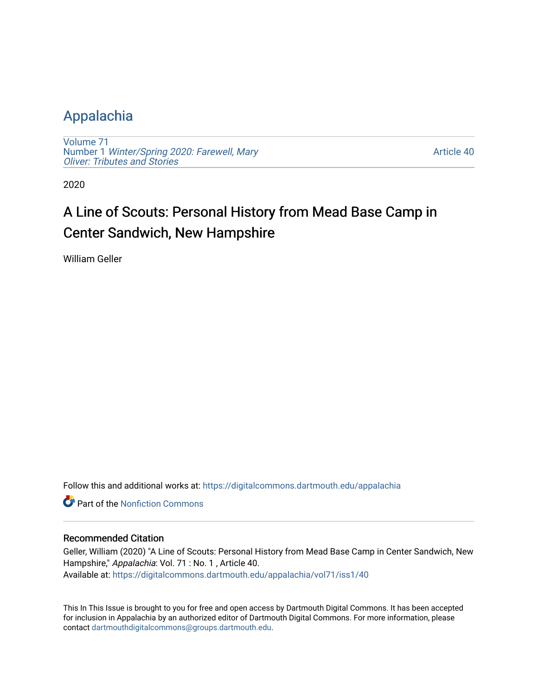### [Appalachia](https://digitalcommons.dartmouth.edu/appalachia)

[Volume 71](https://digitalcommons.dartmouth.edu/appalachia/vol71) Number 1 [Winter/Spring 2020: Farewell, Mary](https://digitalcommons.dartmouth.edu/appalachia/vol71/iss1) [Oliver: Tributes and Stories](https://digitalcommons.dartmouth.edu/appalachia/vol71/iss1) 

[Article 40](https://digitalcommons.dartmouth.edu/appalachia/vol71/iss1/40) 

2020

## A Line of Scouts: Personal History from Mead Base Camp in Center Sandwich, New Hampshire

William Geller

Follow this and additional works at: [https://digitalcommons.dartmouth.edu/appalachia](https://digitalcommons.dartmouth.edu/appalachia?utm_source=digitalcommons.dartmouth.edu%2Fappalachia%2Fvol71%2Fiss1%2F40&utm_medium=PDF&utm_campaign=PDFCoverPages)

**C** Part of the Nonfiction Commons

#### Recommended Citation

Geller, William (2020) "A Line of Scouts: Personal History from Mead Base Camp in Center Sandwich, New Hampshire," Appalachia: Vol. 71 : No. 1 , Article 40. Available at: [https://digitalcommons.dartmouth.edu/appalachia/vol71/iss1/40](https://digitalcommons.dartmouth.edu/appalachia/vol71/iss1/40?utm_source=digitalcommons.dartmouth.edu%2Fappalachia%2Fvol71%2Fiss1%2F40&utm_medium=PDF&utm_campaign=PDFCoverPages) 

This In This Issue is brought to you for free and open access by Dartmouth Digital Commons. It has been accepted for inclusion in Appalachia by an authorized editor of Dartmouth Digital Commons. For more information, please contact [dartmouthdigitalcommons@groups.dartmouth.edu.](mailto:dartmouthdigitalcommons@groups.dartmouth.edu)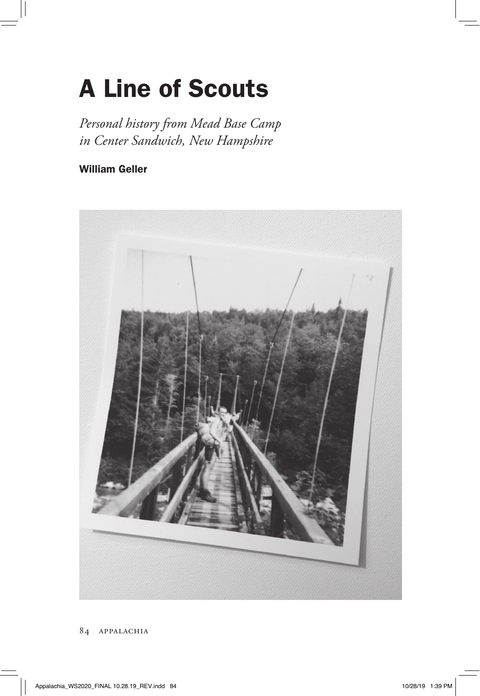# A Line of Scouts

*Personal history from Mead Base Camp in Center Sandwich, New Hampshire*

#### William Geller

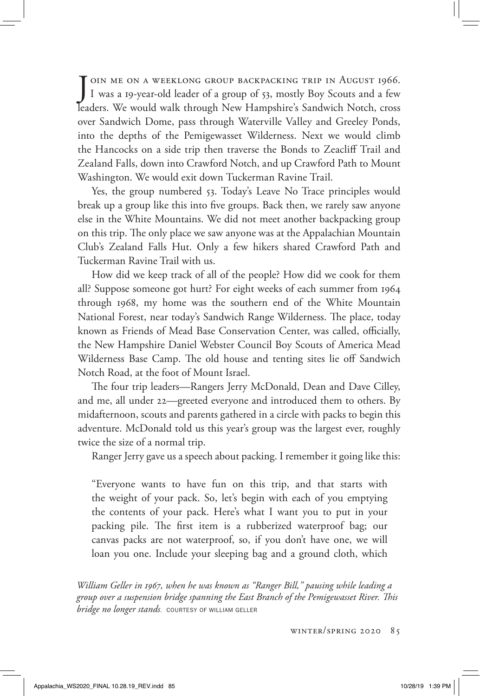J OIN ME ON A WEEKLONG GROUP BACKPACKING TRIP IN AUGUST 1966.<br>I was a 19-year-old leader of a group of 53, mostly Boy Scouts and a few I was a 19-year-old leader of a group of 53, mostly Boy Scouts and a few leaders. We would walk through New Hampshire's Sandwich Notch, cross over Sandwich Dome, pass through Waterville Valley and Greeley Ponds, into the depths of the Pemigewasset Wilderness. Next we would climb the Hancocks on a side trip then traverse the Bonds to Zeacliff Trail and Zealand Falls, down into Crawford Notch, and up Crawford Path to Mount Washington. We would exit down Tuckerman Ravine Trail.

Yes, the group numbered 53. Today's Leave No Trace principles would break up a group like this into five groups. Back then, we rarely saw anyone else in the White Mountains. We did not meet another backpacking group on this trip. The only place we saw anyone was at the Appalachian Mountain Club's Zealand Falls Hut. Only a few hikers shared Crawford Path and Tuckerman Ravine Trail with us.

How did we keep track of all of the people? How did we cook for them all? Suppose someone got hurt? For eight weeks of each summer from 1964 through 1968, my home was the southern end of the White Mountain National Forest, near today's Sandwich Range Wilderness. The place, today known as Friends of Mead Base Conservation Center, was called, officially, the New Hampshire Daniel Webster Council Boy Scouts of America Mead Wilderness Base Camp. The old house and tenting sites lie off Sandwich Notch Road, at the foot of Mount Israel.

The four trip leaders—Rangers Jerry McDonald, Dean and Dave Cilley, and me, all under 22—greeted everyone and introduced them to others. By midafternoon, scouts and parents gathered in a circle with packs to begin this adventure. McDonald told us this year's group was the largest ever, roughly twice the size of a normal trip.

Ranger Jerry gave us a speech about packing. I remember it going like this:

"Everyone wants to have fun on this trip, and that starts with the weight of your pack. So, let's begin with each of you emptying the contents of your pack. Here's what I want you to put in your packing pile. The first item is a rubberized waterproof bag; our canvas packs are not waterproof, so, if you don't have one, we will loan you one. Include your sleeping bag and a ground cloth, which

*William Geller in 1967, when he was known as "Ranger Bill," pausing while leading a group over a suspension bridge spanning the East Branch of the Pemigewasset River. This bridge no longer stands*. COURTESY OF WILLIAM GELLER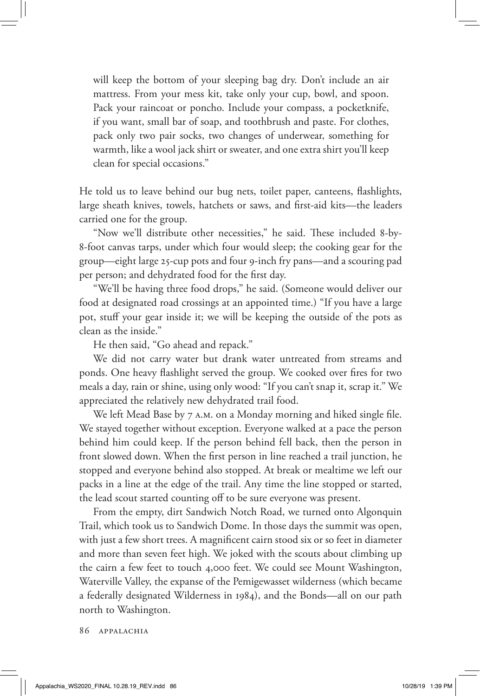will keep the bottom of your sleeping bag dry. Don't include an air mattress. From your mess kit, take only your cup, bowl, and spoon. Pack your raincoat or poncho. Include your compass, a pocketknife, if you want, small bar of soap, and toothbrush and paste. For clothes, pack only two pair socks, two changes of underwear, something for warmth, like a wool jack shirt or sweater, and one extra shirt you'll keep clean for special occasions."

He told us to leave behind our bug nets, toilet paper, canteens, flashlights, large sheath knives, towels, hatchets or saws, and first-aid kits—the leaders carried one for the group.

"Now we'll distribute other necessities," he said. These included 8-by-8-foot canvas tarps, under which four would sleep; the cooking gear for the group—eight large 25-cup pots and four 9-inch fry pans—and a scouring pad per person; and dehydrated food for the first day.

"We'll be having three food drops," he said. (Someone would deliver our food at designated road crossings at an appointed time.) "If you have a large pot, stuff your gear inside it; we will be keeping the outside of the pots as clean as the inside."

He then said, "Go ahead and repack."

We did not carry water but drank water untreated from streams and ponds. One heavy flashlight served the group. We cooked over fires for two meals a day, rain or shine, using only wood: "If you can't snap it, scrap it." We appreciated the relatively new dehydrated trail food.

We left Mead Base by 7 A.M. on a Monday morning and hiked single file. We stayed together without exception. Everyone walked at a pace the person behind him could keep. If the person behind fell back, then the person in front slowed down. When the first person in line reached a trail junction, he stopped and everyone behind also stopped. At break or mealtime we left our packs in a line at the edge of the trail. Any time the line stopped or started, the lead scout started counting off to be sure everyone was present.

From the empty, dirt Sandwich Notch Road, we turned onto Algonquin Trail, which took us to Sandwich Dome. In those days the summit was open, with just a few short trees. A magnificent cairn stood six or so feet in diameter and more than seven feet high. We joked with the scouts about climbing up the cairn a few feet to touch 4,000 feet. We could see Mount Washington, Waterville Valley, the expanse of the Pemigewasset wilderness (which became a federally designated Wilderness in 1984), and the Bonds—all on our path north to Washington.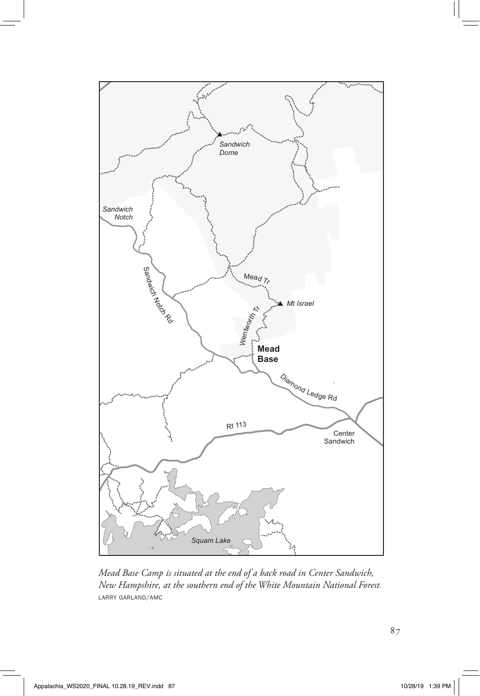

*Mead Base Camp is situated at the end of a back road in Center Sandwich, New Hampshire, at the southern end of the White Mountain National Forest*. LARRY GARLAND/AMC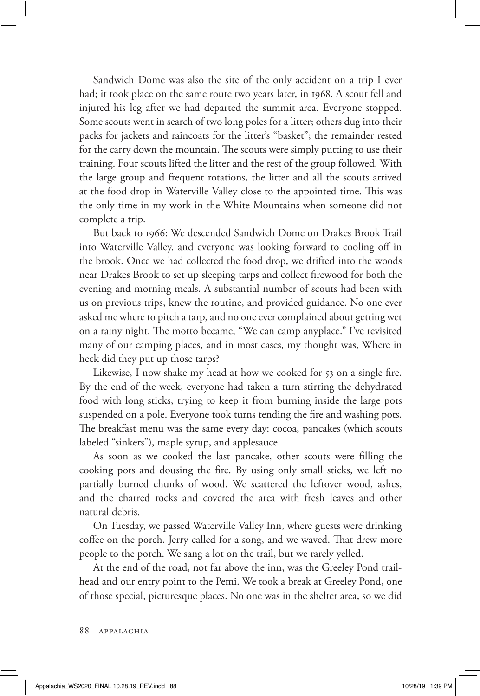Sandwich Dome was also the site of the only accident on a trip I ever had; it took place on the same route two years later, in 1968. A scout fell and injured his leg after we had departed the summit area. Everyone stopped. Some scouts went in search of two long poles for a litter; others dug into their packs for jackets and raincoats for the litter's "basket"; the remainder rested for the carry down the mountain. The scouts were simply putting to use their training. Four scouts lifted the litter and the rest of the group followed. With the large group and frequent rotations, the litter and all the scouts arrived at the food drop in Waterville Valley close to the appointed time. This was the only time in my work in the White Mountains when someone did not complete a trip.

But back to 1966: We descended Sandwich Dome on Drakes Brook Trail into Waterville Valley, and everyone was looking forward to cooling off in the brook. Once we had collected the food drop, we drifted into the woods near Drakes Brook to set up sleeping tarps and collect firewood for both the evening and morning meals. A substantial number of scouts had been with us on previous trips, knew the routine, and provided guidance. No one ever asked me where to pitch a tarp, and no one ever complained about getting wet on a rainy night. The motto became, "We can camp anyplace." I've revisited many of our camping places, and in most cases, my thought was, Where in heck did they put up those tarps?

Likewise, I now shake my head at how we cooked for 53 on a single fire. By the end of the week, everyone had taken a turn stirring the dehydrated food with long sticks, trying to keep it from burning inside the large pots suspended on a pole. Everyone took turns tending the fire and washing pots. The breakfast menu was the same every day: cocoa, pancakes (which scouts labeled "sinkers"), maple syrup, and applesauce.

As soon as we cooked the last pancake, other scouts were filling the cooking pots and dousing the fire. By using only small sticks, we left no partially burned chunks of wood. We scattered the leftover wood, ashes, and the charred rocks and covered the area with fresh leaves and other natural debris.

On Tuesday, we passed Waterville Valley Inn, where guests were drinking coffee on the porch. Jerry called for a song, and we waved. That drew more people to the porch. We sang a lot on the trail, but we rarely yelled.

At the end of the road, not far above the inn, was the Greeley Pond trailhead and our entry point to the Pemi. We took a break at Greeley Pond, one of those special, picturesque places. No one was in the shelter area, so we did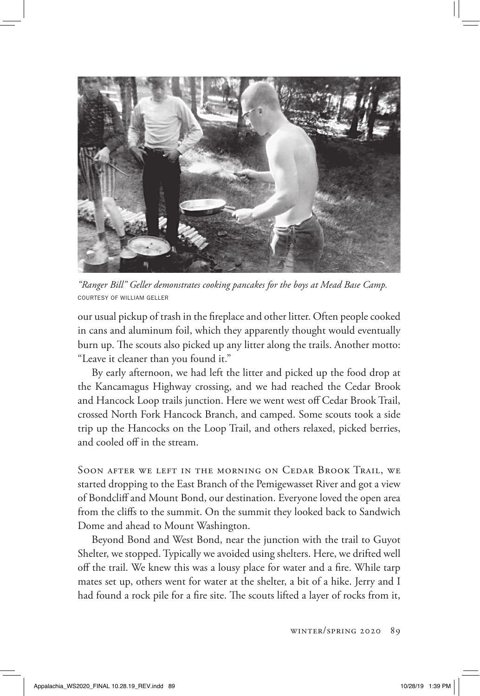

*"Ranger Bill" Geller demonstrates cooking pancakes for the boys at Mead Base Camp.*  COURTESY OF WILLIAM GELLER

our usual pickup of trash in the fireplace and other litter. Often people cooked in cans and aluminum foil, which they apparently thought would eventually burn up. The scouts also picked up any litter along the trails. Another motto: "Leave it cleaner than you found it."

By early afternoon, we had left the litter and picked up the food drop at the Kancamagus Highway crossing, and we had reached the Cedar Brook and Hancock Loop trails junction. Here we went west off Cedar Brook Trail, crossed North Fork Hancock Branch, and camped. Some scouts took a side trip up the Hancocks on the Loop Trail, and others relaxed, picked berries, and cooled off in the stream.

Soon after we left in the morning on Cedar Brook Trail, we started dropping to the East Branch of the Pemigewasset River and got a view of Bondcliff and Mount Bond, our destination. Everyone loved the open area from the cliffs to the summit. On the summit they looked back to Sandwich Dome and ahead to Mount Washington.

Beyond Bond and West Bond, near the junction with the trail to Guyot Shelter, we stopped. Typically we avoided using shelters. Here, we drifted well off the trail. We knew this was a lousy place for water and a fire. While tarp mates set up, others went for water at the shelter, a bit of a hike. Jerry and I had found a rock pile for a fire site. The scouts lifted a layer of rocks from it,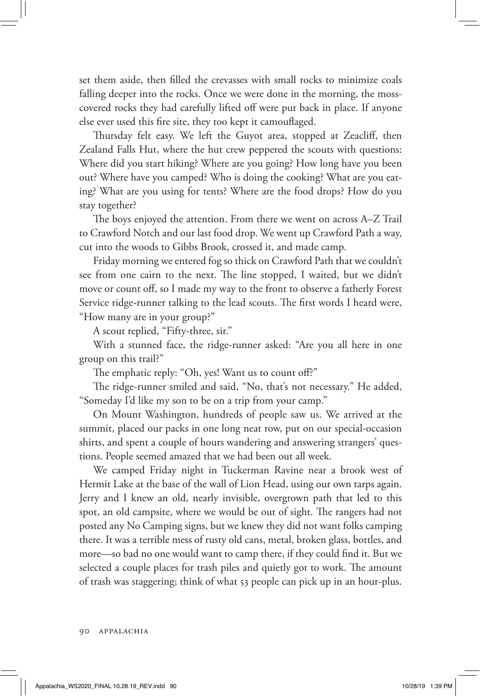set them aside, then filled the crevasses with small rocks to minimize coals falling deeper into the rocks. Once we were done in the morning, the mosscovered rocks they had carefully lifted off were put back in place. If anyone else ever used this fire site, they too kept it camouflaged.

Thursday felt easy. We left the Guyot area, stopped at Zeacliff, then Zealand Falls Hut, where the hut crew peppered the scouts with questions: Where did you start hiking? Where are you going? How long have you been out? Where have you camped? Who is doing the cooking? What are you eating? What are you using for tents? Where are the food drops? How do you stay together?

The boys enjoyed the attention. From there we went on across A–Z Trail to Crawford Notch and our last food drop. We went up Crawford Path a way, cut into the woods to Gibbs Brook, crossed it, and made camp.

Friday morning we entered fog so thick on Crawford Path that we couldn't see from one cairn to the next. The line stopped, I waited, but we didn't move or count off, so I made my way to the front to observe a fatherly Forest Service ridge-runner talking to the lead scouts. The first words I heard were, "How many are in your group?"

A scout replied, "Fifty-three, sir."

With a stunned face, the ridge-runner asked: "Are you all here in one group on this trail?"

The emphatic reply: "Oh, yes! Want us to count off?"

The ridge-runner smiled and said, "No, that's not necessary." He added, "Someday I'd like my son to be on a trip from your camp."

On Mount Washington, hundreds of people saw us. We arrived at the summit, placed our packs in one long neat row, put on our special-occasion shirts, and spent a couple of hours wandering and answering strangers' questions. People seemed amazed that we had been out all week.

We camped Friday night in Tuckerman Ravine near a brook west of Hermit Lake at the base of the wall of Lion Head, using our own tarps again. Jerry and I knew an old, nearly invisible, overgrown path that led to this spot, an old campsite, where we would be out of sight. The rangers had not posted any No Camping signs, but we knew they did not want folks camping there. It was a terrible mess of rusty old cans, metal, broken glass, bottles, and more—so bad no one would want to camp there, if they could find it. But we selected a couple places for trash piles and quietly got to work. The amount of trash was staggering; think of what 53 people can pick up in an hour-plus.